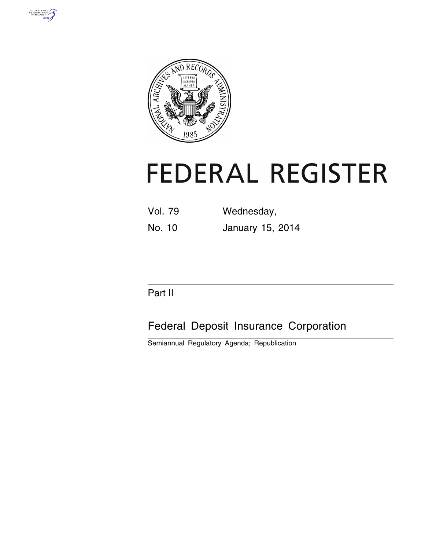



# **FEDERAL REGISTER**

| <b>Vol. 79</b> | Wednesday,       |
|----------------|------------------|
| No. 10         | January 15, 2014 |

# Part II

# Federal Deposit Insurance Corporation

Semiannual Regulatory Agenda; Republication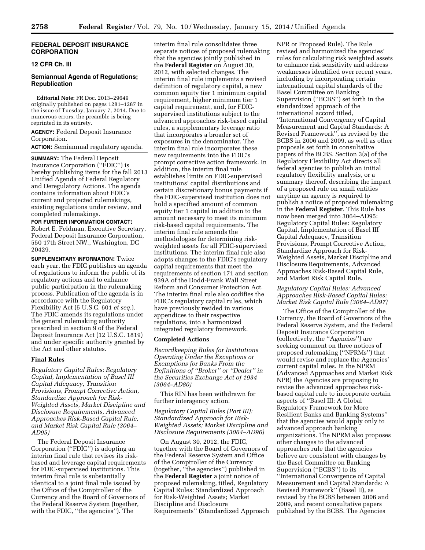## **FEDERAL DEPOSIT INSURANCE CORPORATION**

# **12 CFR Ch. III**

# **Semiannual Agenda of Regulations; Republication**

**Editorial Note:** FR Doc. 2013–29649 originally published on pages 1281–1287 in the issue of Tuesday, January 7, 2014. Due to numerous errors, the preamble is being reprinted in its entirety.

**AGENCY:** Federal Deposit Insurance Corporation.

**ACTION:** Semiannual regulatory agenda.

**SUMMARY:** The Federal Deposit Insurance Corporation (''FDIC'') is hereby publishing items for the fall 2013 Unified Agenda of Federal Regulatory and Deregulatory Actions. The agenda contains information about FDIC's current and projected rulemakings, existing regulations under review, and completed rulemakings.

**FOR FURTHER INFORMATION CONTACT:**  Robert E. Feldman, Executive Secretary, Federal Deposit Insurance Corporation, 550 17th Street NW., Washington, DC 20429.

**SUPPLEMENTARY INFORMATION:** Twice each year, the FDIC publishes an agenda of regulations to inform the public of its regulatory actions and to enhance public participation in the rulemaking process. Publication of the agenda is in accordance with the Regulatory Flexibility Act (5 U.S.C. 601 *et seq.*). The FDIC amends its regulations under the general rulemaking authority prescribed in section 9 of the Federal Deposit Insurance Act (12 U.S.C. 1819) and under specific authority granted by the Act and other statutes.

## **Final Rules**

*Regulatory Capital Rules: Regulatory Capital, Implementation of Basel III Capital Adequacy, Transition Provisions, Prompt Corrective Action, Standardize Approach for Risk-Weighted Assets, Market Discipline and Disclosure Requirements, Advanced Approaches Risk-Based Capital Rule, and Market Risk Capital Rule (3064– AD95)* 

The Federal Deposit Insurance Corporation (''FDIC'') is adopting an interim final rule that revises its riskbased and leverage capital requirements for FDIC-supervised institutions. This interim final rule is substantially identical to a joint final rule issued by the Office of the Comptroller of the Currency and the Board of Governors of the Federal Reserve System (together, with the FDIC, ''the agencies''). The

interim final rule consolidates three separate notices of proposed rulemaking that the agencies jointly published in the **Federal Register** on August 30, 2012, with selected changes. The interim final rule implements a revised definition of regulatory capital, a new common equity tier 1 minimum capital requirement, higher minimum tier 1 capital requirement, and, for FDICsupervised institutions subject to the advanced approaches risk-based capital rules, a supplementary leverage ratio that incorporates a broader set of exposures in the denominator. The interim final rule incorporates these new requirements into the FDIC's prompt corrective action framework. In addition, the interim final rule establishes limits on FDIC-supervised institutions' capital distributions and certain discretionary bonus payments if the FDIC-supervised institution does not hold a specified amount of common equity tier 1 capital in addition to the amount necessary to meet its minimum risk-based capital requirements. The interim final rule amends the methodologies for determining riskweighted assets for all FDIC-supervised institutions. The interim final rule also adopts changes to the FDIC's regulatory capital requirements that meet the requirements of section 171 and section 939A of the Dodd-Frank Wall Street Reform and Consumer Protection Act. The interim final rule also codifies the FDIC's regulatory capital rules, which have previously resided in various appendices to their respective regulations, into a harmonized integrated regulatory framework.

#### **Completed Actions**

*Recordkeeping Rules for Institutions Operating Under the Exceptions or Exemptions for Banks From the Definitions of ''Broker'' or ''Dealer'' in the Securities Exchange Act of 1934 (3064–AD80)* 

This RIN has been withdrawn for further interagency action.

*Regulatory Capital Rules (Part III): Standardized Approach for Risk-Weighted Assets; Market Discipline and Disclosure Requirements (3064–AD96)* 

On August 30, 2012, the FDIC, together with the Board of Governors of the Federal Reserve System and Office of the Comptroller of the Currency (together, ''the agencies'') published in the **Federal Register** a joint notice of proposed rulemaking, titled, Regulatory Capital Rules: Standardized Approach for Risk-Weighted Assets; Market Discipline and Disclosure Requirements'' (Standardized Approach

NPR or Proposed Rule). The Rule revised and harmonized the agencies' rules for calculating risk weighted assets to enhance risk sensitivity and address weaknesses identified over recent years, including by incorporating certain international capital standards of the Basel Committee on Banking Supervision (''BCBS'') set forth in the standardized approach of the international accord titled, ''International Convergency of Capital Measurement and Capital Standards: A Revised Framework'', as revised by the BCBS in 2006 and 2009, as well as other proposals set forth in consultative papers of the BCBS. Section 3(a) of the Regulatory Flexibility Act directs all federal agencies to publish an initial regulatory flexibility analysis, or a summary thereof, describing the impact of a proposed rule on small entities anytime an agency is required to publish a notice of proposed rulemaking in the **Federal Register**. This Rule has now been merged into 3064–AD95: Regulatory Capital Rules: Regulatory Capital, Implementation of Basel III Capital Adequacy, Transition Provisions, Prompt Corrective Action, Standardize Approach for Risk-Weighted Assets, Market Discipline and Disclosure Requirements, Advanced Approaches Risk-Based Capital Rule, and Market Risk Capital Rule.

## *Regulatory Capital Rules: Advanced Approaches Risk-Based Capital Rules; Market Risk Capital Rule (3064–AD97)*

The Office of the Comptroller of the Currency, the Board of Governors of the Federal Reserve System, and the Federal Deposit Insurance Corporation (collectively, the ''Agencies'') are seeking comment on three notices of proposed rulemaking (''NPRMs'') that would revise and replace the Agencies' current capital rules. In the NPRM (Advanced Approaches and Market Risk NPR) the Agencies are proposing to revise the advanced approaches riskbased capital rule to incorporate certain aspects of ''Basel III: A Global Regulatory Framework for More Resilient Banks and Banking Systems'' that the agencies would apply only to advanced approach banking organizations. The NPRM also proposes other changes to the advanced approaches rule that the agencies believe are consistent with changes by the Basel Committee on Banking Supervision (''BCBS'') to its ''International Convergence of Capital Measurement and Capital Standards: A Revised Framework'' (Basel II), as revised by the BCBS between 2006 and 2009, and recent consultative papers published by the BCBS. The Agencies